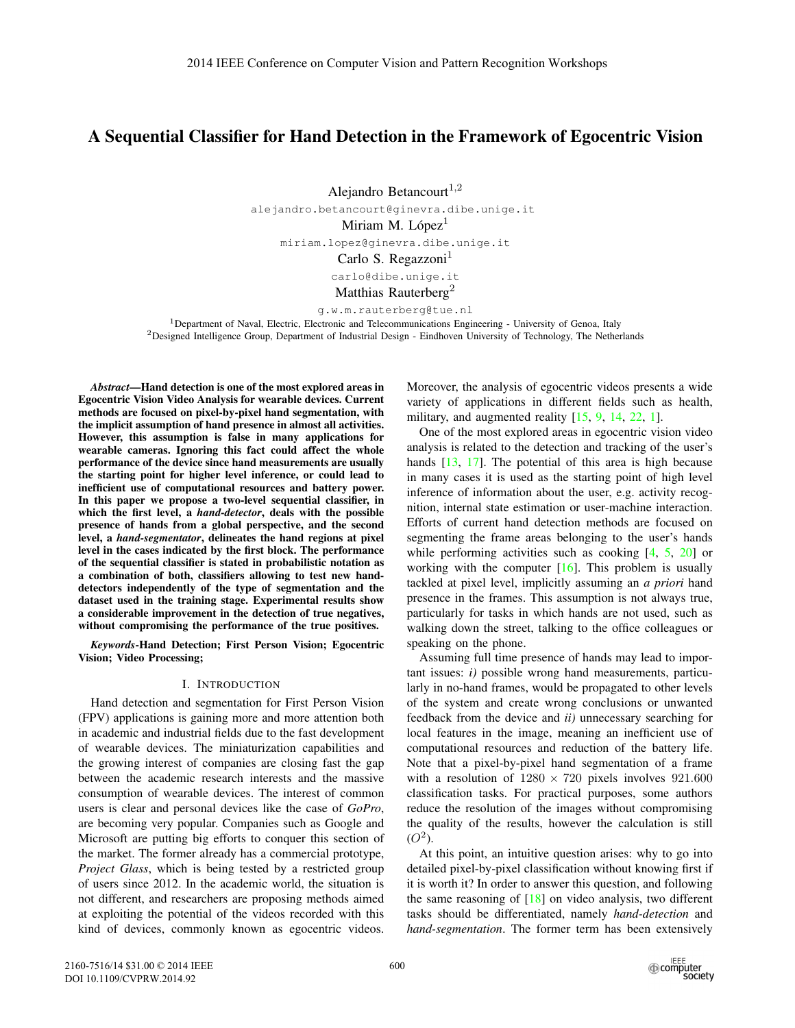# A Sequential Classifier for Hand Detection in the Framework of Egocentric Vision

Alejandro Betancourt $^{1,2}$ 

alejandro.betancourt@ginevra.dibe.unige.it

Miriam M. López $<sup>1</sup>$ </sup>

miriam.lopez@ginevra.dibe.unige.it

Carlo S. Regazzoni<sup>1</sup>

carlo@dibe.unige.it

Matthias Rauterberg<sup>2</sup>

g.w.m.rauterberg@tue.nl

<sup>1</sup>Department of Naval, Electric, Electronic and Telecommunications Engineering - University of Genoa, Italy <sup>2</sup>Designed Intelligence Group, Department of Industrial Design - Eindhoven University of Technology, The Netherlands

*Abstract*—Hand detection is one of the most explored areas in Egocentric Vision Video Analysis for wearable devices. Current methods are focused on pixel-by-pixel hand segmentation, with the implicit assumption of hand presence in almost all activities. However, this assumption is false in many applications for wearable cameras. Ignoring this fact could affect the whole performance of the device since hand measurements are usually the starting point for higher level inference, or could lead to inefficient use of computational resources and battery power. In this paper we propose a two-level sequential classifier, in which the first level, a *hand-detector*, deals with the possible presence of hands from a global perspective, and the second level, a *hand-segmentator*, delineates the hand regions at pixel level in the cases indicated by the first block. The performance of the sequential classifier is stated in probabilistic notation as a combination of both, classifiers allowing to test new handdetectors independently of the type of segmentation and the dataset used in the training stage. Experimental results show a considerable improvement in the detection of true negatives, without compromising the performance of the true positives.

*Keywords*-Hand Detection; First Person Vision; Egocentric Vision; Video Processing;

## I. INTRODUCTION

Hand detection and segmentation for First Person Vision (FPV) applications is gaining more and more attention both in academic and industrial fields due to the fast development of wearable devices. The miniaturization capabilities and the growing interest of companies are closing fast the gap between the academic research interests and the massive consumption of wearable devices. The interest of common users is clear and personal devices like the case of *GoPro*, are becoming very popular. Companies such as Google and Microsoft are putting big efforts to conquer this section of the market. The former already has a commercial prototype, *Project Glass*, which is being tested by a restricted group of users since 2012. In the academic world, the situation is not different, and researchers are proposing methods aimed at exploiting the potential of the videos recorded with this kind of devices, commonly known as egocentric videos.

Moreover, the analysis of egocentric videos presents a wide variety of applications in different fields such as health, military, and augmented reality  $[15, 9, 14, 22, 1]$ .

One of the most explored areas in egocentric vision video analysis is related to the detection and tracking of the user's hands [13, 17]. The potential of this area is high because in many cases it is used as the starting point of high level inference of information about the user, e.g. activity recognition, internal state estimation or user-machine interaction. Efforts of current hand detection methods are focused on segmenting the frame areas belonging to the user's hands while performing activities such as cooking  $[4, 5, 20]$  or working with the computer  $[16]$ . This problem is usually tackled at pixel level, implicitly assuming an *a priori* hand presence in the frames. This assumption is not always true, particularly for tasks in which hands are not used, such as walking down the street, talking to the office colleagues or speaking on the phone.

Assuming full time presence of hands may lead to important issues: *i)* possible wrong hand measurements, particularly in no-hand frames, would be propagated to other levels of the system and create wrong conclusions or unwanted feedback from the device and *ii)* unnecessary searching for local features in the image, meaning an inefficient use of computational resources and reduction of the battery life. Note that a pixel-by-pixel hand segmentation of a frame with a resolution of  $1280 \times 720$  pixels involves  $921.600$ classification tasks. For practical purposes, some authors reduce the resolution of the images without compromising the quality of the results, however the calculation is still  $(O^2)$ .

At this point, an intuitive question arises: why to go into detailed pixel-by-pixel classification without knowing first if it is worth it? In order to answer this question, and following the same reasoning of  $[18]$  on video analysis, two different tasks should be differentiated, namely *hand-detection* and *hand-segmentation*. The former term has been extensively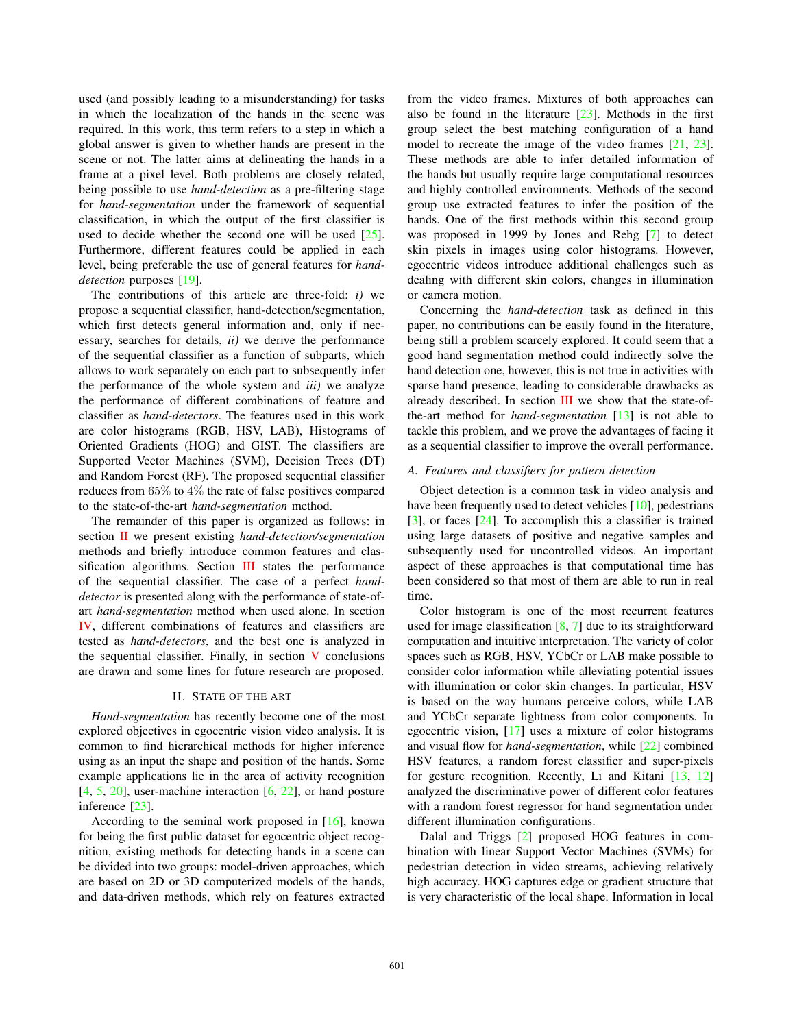used (and possibly leading to a misunderstanding) for tasks in which the localization of the hands in the scene was required. In this work, this term refers to a step in which a global answer is given to whether hands are present in the scene or not. The latter aims at delineating the hands in a frame at a pixel level. Both problems are closely related, being possible to use *hand-detection* as a pre-filtering stage for *hand-segmentation* under the framework of sequential classification, in which the output of the first classifier is used to decide whether the second one will be used [25]. Furthermore, different features could be applied in each level, being preferable the use of general features for *handdetection* purposes [19].

The contributions of this article are three-fold: *i)* we propose a sequential classifier, hand-detection/segmentation, which first detects general information and, only if necessary, searches for details, *ii)* we derive the performance of the sequential classifier as a function of subparts, which allows to work separately on each part to subsequently infer the performance of the whole system and *iii)* we analyze the performance of different combinations of feature and classifier as *hand-detectors*. The features used in this work are color histograms (RGB, HSV, LAB), Histograms of Oriented Gradients (HOG) and GIST. The classifiers are Supported Vector Machines (SVM), Decision Trees (DT) and Random Forest (RF). The proposed sequential classifier reduces from 65% to 4% the rate of false positives compared to the state-of-the-art *hand-segmentation* method.

The remainder of this paper is organized as follows: in section II we present existing *hand-detection/segmentation* methods and briefly introduce common features and classification algorithms. Section III states the performance of the sequential classifier. The case of a perfect *handdetector* is presented along with the performance of state-ofart *hand-segmentation* method when used alone. In section IV, different combinations of features and classifiers are tested as *hand-detectors*, and the best one is analyzed in the sequential classifier. Finally, in section  $V$  conclusions are drawn and some lines for future research are proposed.

## II. STATE OF THE ART

*Hand-segmentation* has recently become one of the most explored objectives in egocentric vision video analysis. It is common to find hierarchical methods for higher inference using as an input the shape and position of the hands. Some example applications lie in the area of activity recognition  $[4, 5, 20]$ , user-machine interaction  $[6, 22]$ , or hand posture inference [23].

According to the seminal work proposed in [16], known for being the first public dataset for egocentric object recognition, existing methods for detecting hands in a scene can be divided into two groups: model-driven approaches, which are based on 2D or 3D computerized models of the hands, and data-driven methods, which rely on features extracted

from the video frames. Mixtures of both approaches can also be found in the literature  $[23]$ . Methods in the first group select the best matching configuration of a hand model to recreate the image of the video frames [21, 23]. These methods are able to infer detailed information of the hands but usually require large computational resources and highly controlled environments. Methods of the second group use extracted features to infer the position of the hands. One of the first methods within this second group was proposed in 1999 by Jones and Rehg [7] to detect skin pixels in images using color histograms. However, egocentric videos introduce additional challenges such as dealing with different skin colors, changes in illumination or camera motion.

Concerning the *hand-detection* task as defined in this paper, no contributions can be easily found in the literature, being still a problem scarcely explored. It could seem that a good hand segmentation method could indirectly solve the hand detection one, however, this is not true in activities with sparse hand presence, leading to considerable drawbacks as already described. In section III we show that the state-ofthe-art method for *hand-segmentation* [13] is not able to tackle this problem, and we prove the advantages of facing it as a sequential classifier to improve the overall performance.

## *A. Features and classifiers for pattern detection*

Object detection is a common task in video analysis and have been frequently used to detect vehicles [10], pedestrians  $[3]$ , or faces  $[24]$ . To accomplish this a classifier is trained using large datasets of positive and negative samples and subsequently used for uncontrolled videos. An important aspect of these approaches is that computational time has been considered so that most of them are able to run in real time.

Color histogram is one of the most recurrent features used for image classification  $[8, 7]$  due to its straightforward computation and intuitive interpretation. The variety of color spaces such as RGB, HSV, YCbCr or LAB make possible to consider color information while alleviating potential issues with illumination or color skin changes. In particular, HSV is based on the way humans perceive colors, while LAB and YCbCr separate lightness from color components. In egocentric vision, [17] uses a mixture of color histograms and visual flow for *hand-segmentation*, while [22] combined HSV features, a random forest classifier and super-pixels for gesture recognition. Recently, Li and Kitani [13, 12] analyzed the discriminative power of different color features with a random forest regressor for hand segmentation under different illumination configurations.

Dalal and Triggs [2] proposed HOG features in combination with linear Support Vector Machines (SVMs) for pedestrian detection in video streams, achieving relatively high accuracy. HOG captures edge or gradient structure that is very characteristic of the local shape. Information in local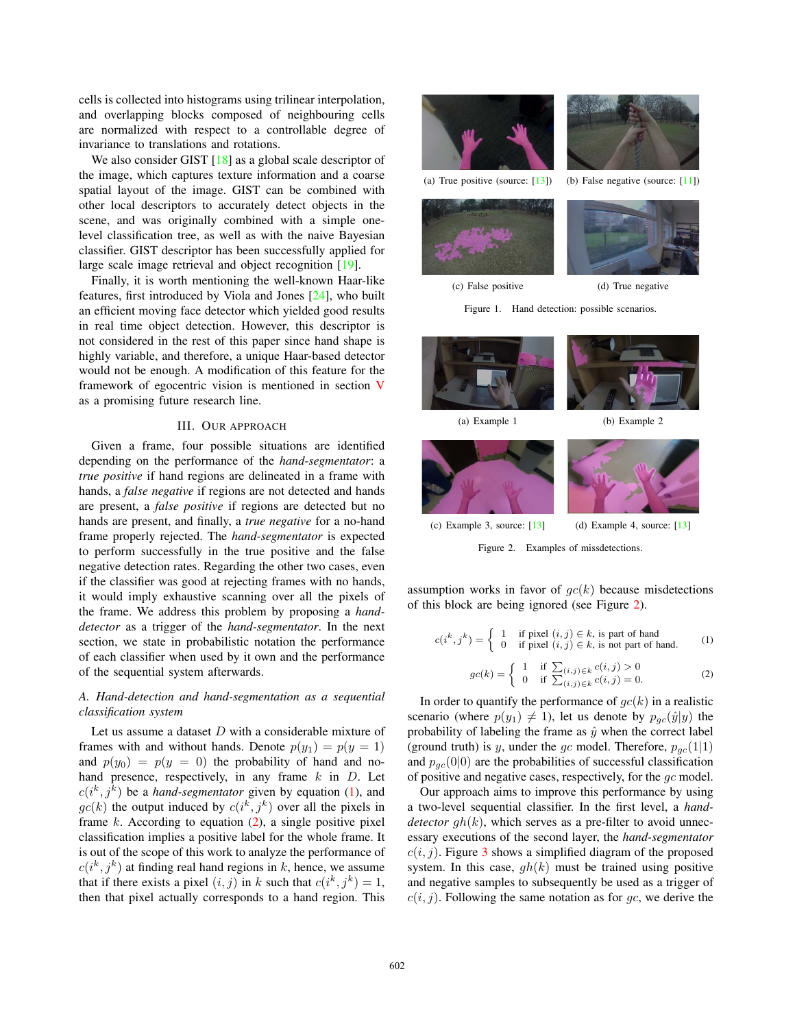cells is collected into histograms using trilinear interpolation, and overlapping blocks composed of neighbouring cells are normalized with respect to a controllable degree of invariance to translations and rotations.

We also consider GIST  $[18]$  as a global scale descriptor of the image, which captures texture information and a coarse spatial layout of the image. GIST can be combined with other local descriptors to accurately detect objects in the scene, and was originally combined with a simple onelevel classification tree, as well as with the naive Bayesian classifier. GIST descriptor has been successfully applied for large scale image retrieval and object recognition [19].

Finally, it is worth mentioning the well-known Haar-like features, first introduced by Viola and Jones [24], who built an efficient moving face detector which yielded good results in real time object detection. However, this descriptor is not considered in the rest of this paper since hand shape is highly variable, and therefore, a unique Haar-based detector would not be enough. A modification of this feature for the framework of egocentric vision is mentioned in section V as a promising future research line.

## III. OUR APPROACH

Given a frame, four possible situations are identified depending on the performance of the *hand-segmentator*: a *true positive* if hand regions are delineated in a frame with hands, a *false negative* if regions are not detected and hands are present, a *false positive* if regions are detected but no hands are present, and finally, a *true negative* for a no-hand frame properly rejected. The *hand-segmentator* is expected to perform successfully in the true positive and the false negative detection rates. Regarding the other two cases, even if the classifier was good at rejecting frames with no hands, it would imply exhaustive scanning over all the pixels of the frame. We address this problem by proposing a *handdetector* as a trigger of the *hand-segmentator*. In the next section, we state in probabilistic notation the performance of each classifier when used by it own and the performance of the sequential system afterwards.

## *A. Hand-detection and hand-segmentation as a sequential classification system*

Let us assume a dataset  $D$  with a considerable mixture of frames with and without hands. Denote  $p(y_1) = p(y = 1)$ and  $p(y_0) = p(y = 0)$  the probability of hand and nohand presence, respectively, in any frame  $k$  in  $D$ . Let  $c(i^k, j^k)$  be a *hand-segmentator* given by equation (1), and  $ac(k)$  the output induced by  $c(i^k, i^k)$  over all the pixels in  $gc(k)$  the output induced by  $c(i^k, j^k)$  over all the pixels in frame  $k$ . According to equation (2) a single positive pixel frame  $k$ . According to equation  $(2)$ , a single positive pixel classification implies a positive label for the whole frame. It is out of the scope of this work to analyze the performance of  $c(i^k, j^k)$  at finding real hand regions in k, hence, we assume<br>that if there exists a nivel  $(i, j)$  in k such that  $c(i^k, i^k) = 1$ that if there exists a pixel  $(i, j)$  in k such that  $c(i^k, j^k) = 1$ ,<br>then that pixel actually corresponds to a hand region. This then that pixel actually corresponds to a hand region. This





(c) False positive (d) True negative

Figure 1. Hand detection: possible scenarios.







(c) Example 3, source:  $[13]$  (d) Example 4, source:  $[13]$ 

Figure 2. Examples of missdetections.

assumption works in favor of  $gc(k)$  because misdetections of this block are being ignored (see Figure 2).

$$
c(i^k, j^k) = \begin{cases} 1 & \text{if pixel } (i, j) \in k, \text{ is part of hand} \\ 0 & \text{if pixel } (i, j) \in k, \text{ is not part of hand.} \end{cases}
$$
 (1)

$$
gc(k) = \begin{cases} 1 & \text{if } \sum_{(i,j) \in k} c(i,j) > 0\\ 0 & \text{if } \sum_{(i,j) \in k} c(i,j) = 0. \end{cases}
$$
 (2)

In order to quantify the performance of  $qc(k)$  in a realistic scenario (where  $p(y_1) \neq 1$ ), let us denote by  $p_{gc}(\hat{y}|y)$  the probability of labeling the frame as  $\hat{y}$  when the correct label probability of labeling the frame as  $\hat{y}$  when the correct label (ground truth) is y, under the gc model. Therefore,  $p_{gc}(1|1)$ and  $p_{gc}(0|0)$  are the probabilities of successful classification of positive and negative cases, respectively, for the gc model.

Our approach aims to improve this performance by using a two-level sequential classifier. In the first level, a *handdetector*  $gh(k)$ , which serves as a pre-filter to avoid unnecessary executions of the second layer, the *hand-segmentator*  $c(i, j)$ . Figure 3 shows a simplified diagram of the proposed system. In this case,  $gh(k)$  must be trained using positive and negative samples to subsequently be used as a trigger of  $c(i, j)$ . Following the same notation as for qc, we derive the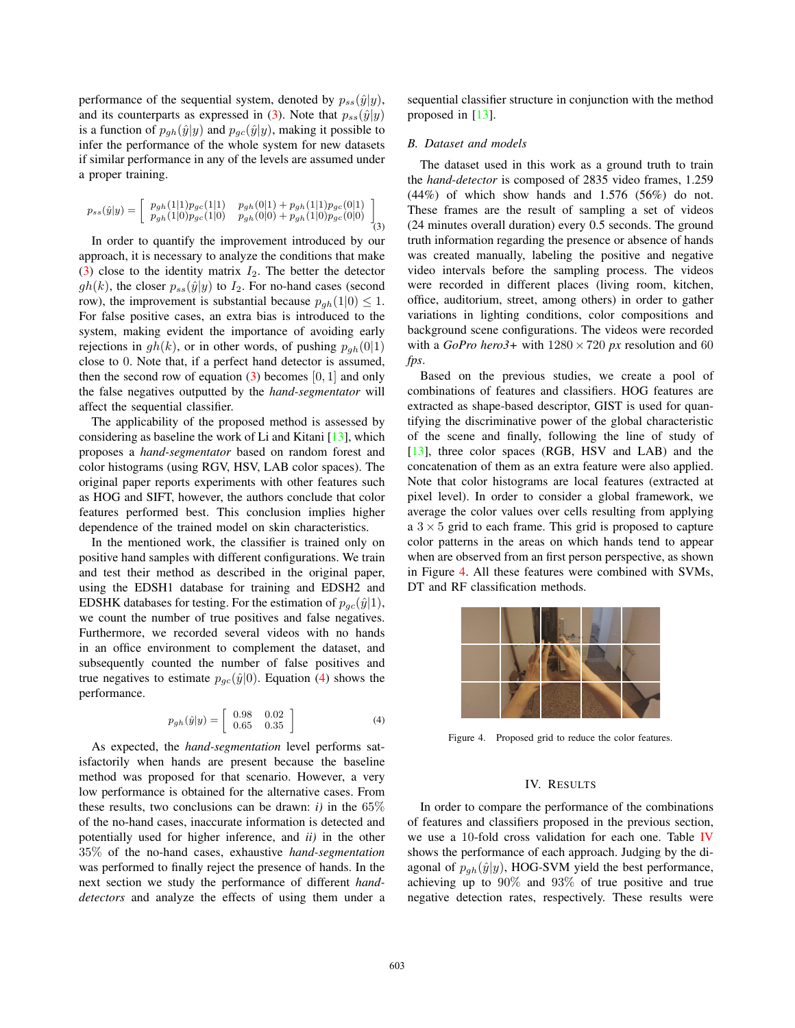performance of the sequential system, denoted by  $p_{ss}(\hat{y}|y)$ , and its counterparts as expressed in (3). Note that  $p_{ss}(\hat{y}|y)$ is a function of  $p_{gh}(\hat{y}|y)$  and  $p_{qc}(\hat{y}|y)$ , making it possible to infer the performance of the whole system for new datasets if similar performance in any of the levels are assumed under a proper training.

$$
p_{ss}(\hat{y}|y) = \begin{bmatrix} p_{gh}(1|1)p_{gc}(1|1) & p_{gh}(0|1) + p_{gh}(1|1)p_{gc}(0|1) \\ p_{gh}(1|0)p_{gc}(1|0) & p_{gh}(0|0) + p_{gh}(1|0)p_{gc}(0|0) \end{bmatrix} (3)
$$

In order to quantify the improvement introduced by our approach, it is necessary to analyze the conditions that make (3) close to the identity matrix  $I_2$ . The better the detector  $gh(k)$ , the closer  $p_{ss}(\hat{y}|y)$  to  $I_2$ . For no-hand cases (second row), the improvement is substantial because  $p_{ah}(1|0) \leq 1$ . For false positive cases, an extra bias is introduced to the system, making evident the importance of avoiding early rejections in  $gh(k)$ , or in other words, of pushing  $p_{gh}(0|1)$ close to 0. Note that, if a perfect hand detector is assumed, then the second row of equation  $(3)$  becomes  $[0, 1]$  and only the false negatives outputted by the *hand-segmentator* will affect the sequential classifier.

The applicability of the proposed method is assessed by considering as baseline the work of Li and Kitani [13], which proposes a *hand-segmentator* based on random forest and color histograms (using RGV, HSV, LAB color spaces). The original paper reports experiments with other features such as HOG and SIFT, however, the authors conclude that color features performed best. This conclusion implies higher dependence of the trained model on skin characteristics.

In the mentioned work, the classifier is trained only on positive hand samples with different configurations. We train and test their method as described in the original paper, using the EDSH1 database for training and EDSH2 and EDSHK databases for testing. For the estimation of  $p_{gc}(\hat{y}|1)$ , we count the number of true positives and false negatives. Furthermore, we recorded several videos with no hands in an office environment to complement the dataset, and subsequently counted the number of false positives and true negatives to estimate  $p_{gc}(\hat{y}|0)$ . Equation (4) shows the performance.

$$
p_{gh}(\hat{y}|y) = \left[\begin{array}{cc} 0.98 & 0.02\\ 0.65 & 0.35 \end{array}\right]
$$
 (4)

As expected, the *hand-segmentation* level performs satisfactorily when hands are present because the baseline method was proposed for that scenario. However, a very low performance is obtained for the alternative cases. From these results, two conclusions can be drawn:  $i$ ) in the  $65\%$ of the no-hand cases, inaccurate information is detected and potentially used for higher inference, and *ii)* in the other 35% of the no-hand cases, exhaustive *hand-segmentation* was performed to finally reject the presence of hands. In the next section we study the performance of different *handdetectors* and analyze the effects of using them under a sequential classifier structure in conjunction with the method proposed in [13].

## *B. Dataset and models*

The dataset used in this work as a ground truth to train the *hand-detector* is composed of 2835 video frames, 1.259  $(44\%)$  of which show hands and 1.576 (56%) do not. These frames are the result of sampling a set of videos (24 minutes overall duration) every 0.5 seconds. The ground truth information regarding the presence or absence of hands was created manually, labeling the positive and negative video intervals before the sampling process. The videos were recorded in different places (living room, kitchen, office, auditorium, street, among others) in order to gather variations in lighting conditions, color compositions and background scene configurations. The videos were recorded with a  $GoPro$  *hero3*+ with  $1280 \times 720$  *px* resolution and 60 *fps*.

Based on the previous studies, we create a pool of combinations of features and classifiers. HOG features are extracted as shape-based descriptor, GIST is used for quantifying the discriminative power of the global characteristic of the scene and finally, following the line of study of [13], three color spaces (RGB, HSV and LAB) and the concatenation of them as an extra feature were also applied. Note that color histograms are local features (extracted at pixel level). In order to consider a global framework, we average the color values over cells resulting from applying a  $3 \times 5$  grid to each frame. This grid is proposed to capture color patterns in the areas on which hands tend to appear when are observed from an first person perspective, as shown in Figure 4. All these features were combined with SVMs, DT and RF classification methods.



Figure 4. Proposed grid to reduce the color features.

## IV. RESULTS

In order to compare the performance of the combinations of features and classifiers proposed in the previous section, we use a 10-fold cross validation for each one. Table IV shows the performance of each approach. Judging by the diagonal of  $p_{ah}(\hat{y}|y)$ , HOG-SVM yield the best performance, achieving up to 90% and 93% of true positive and true negative detection rates, respectively. These results were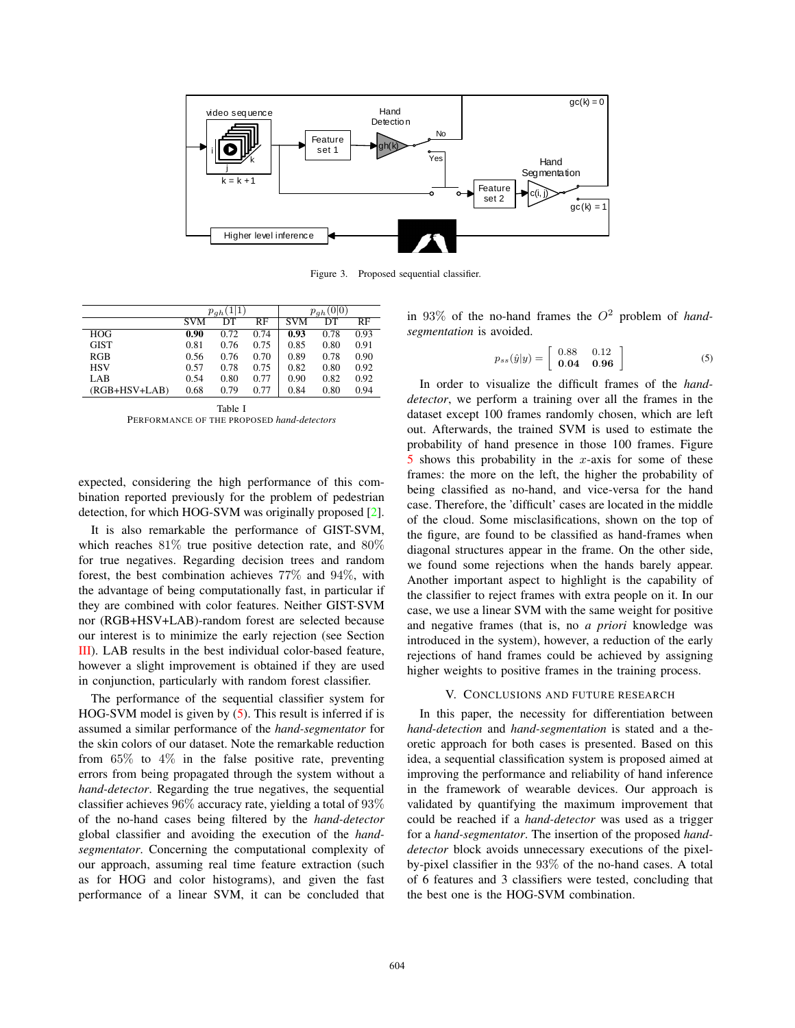

Figure 3. Proposed sequential classifier.

|               | $p_{ah}$   |      |      | $p_{ah}(0 0)$ |      |      |
|---------------|------------|------|------|---------------|------|------|
|               | <b>SVM</b> | DТ   | RF   | <b>SVM</b>    | DТ   | RF   |
| HOG           | 0.90       | 0.72 | 0.74 | 0.93          | 0.78 | 0.93 |
| <b>GIST</b>   | 0.81       | 0.76 | 0.75 | 0.85          | 0.80 | 0.91 |
| RGB           | 0.56       | 0.76 | 0.70 | 0.89          | 0.78 | 0.90 |
| <b>HSV</b>    | 0.57       | 0.78 | 0.75 | 0.82          | 0.80 | 0.92 |
| LAB           | 0.54       | 0.80 | 0.77 | 0.90          | 0.82 | 0.92 |
| (RGB+HSV+LAB) | 0.68       | 0.79 | 0.77 | 0.84          | 0.80 | 0.94 |

| Table I                                    |
|--------------------------------------------|
| PERFORMANCE OF THE PROPOSED hand-detectors |

expected, considering the high performance of this combination reported previously for the problem of pedestrian detection, for which HOG-SVM was originally proposed [2].

It is also remarkable the performance of GIST-SVM, which reaches 81% true positive detection rate, and 80% for true negatives. Regarding decision trees and random forest, the best combination achieves 77% and 94%, with the advantage of being computationally fast, in particular if they are combined with color features. Neither GIST-SVM nor (RGB+HSV+LAB)-random forest are selected because our interest is to minimize the early rejection (see Section III). LAB results in the best individual color-based feature, however a slight improvement is obtained if they are used in conjunction, particularly with random forest classifier.

The performance of the sequential classifier system for HOG-SVM model is given by (5). This result is inferred if is assumed a similar performance of the *hand-segmentator* for the skin colors of our dataset. Note the remarkable reduction from  $65\%$  to  $4\%$  in the false positive rate, preventing errors from being propagated through the system without a *hand-detector*. Regarding the true negatives, the sequential classifier achieves 96% accuracy rate, yielding a total of 93% of the no-hand cases being filtered by the *hand-detector* global classifier and avoiding the execution of the *handsegmentator*. Concerning the computational complexity of our approach, assuming real time feature extraction (such as for HOG and color histograms), and given the fast performance of a linear SVM, it can be concluded that

in  $93\%$  of the no-hand frames the  $O^2$  problem of *handsegmentation* is avoided.

$$
p_{ss}(\hat{y}|y) = \left[\begin{array}{cc} 0.88 & 0.12\\ \mathbf{0.04} & \mathbf{0.96} \end{array}\right]
$$
 (5)

In order to visualize the difficult frames of the *handdetector*, we perform a training over all the frames in the dataset except 100 frames randomly chosen, which are left out. Afterwards, the trained SVM is used to estimate the probability of hand presence in those 100 frames. Figure  $\overline{5}$  shows this probability in the x-axis for some of these frames: the more on the left, the higher the probability of being classified as no-hand, and vice-versa for the hand case. Therefore, the 'difficult' cases are located in the middle of the cloud. Some misclasifications, shown on the top of the figure, are found to be classified as hand-frames when diagonal structures appear in the frame. On the other side, we found some rejections when the hands barely appear. Another important aspect to highlight is the capability of the classifier to reject frames with extra people on it. In our case, we use a linear SVM with the same weight for positive and negative frames (that is, no *a priori* knowledge was introduced in the system), however, a reduction of the early rejections of hand frames could be achieved by assigning higher weights to positive frames in the training process.

#### V. CONCLUSIONS AND FUTURE RESEARCH

In this paper, the necessity for differentiation between *hand-detection* and *hand-segmentation* is stated and a theoretic approach for both cases is presented. Based on this idea, a sequential classification system is proposed aimed at improving the performance and reliability of hand inference in the framework of wearable devices. Our approach is validated by quantifying the maximum improvement that could be reached if a *hand-detector* was used as a trigger for a *hand-segmentator*. The insertion of the proposed *handdetector* block avoids unnecessary executions of the pixelby-pixel classifier in the 93% of the no-hand cases. A total of 6 features and 3 classifiers were tested, concluding that the best one is the HOG-SVM combination.